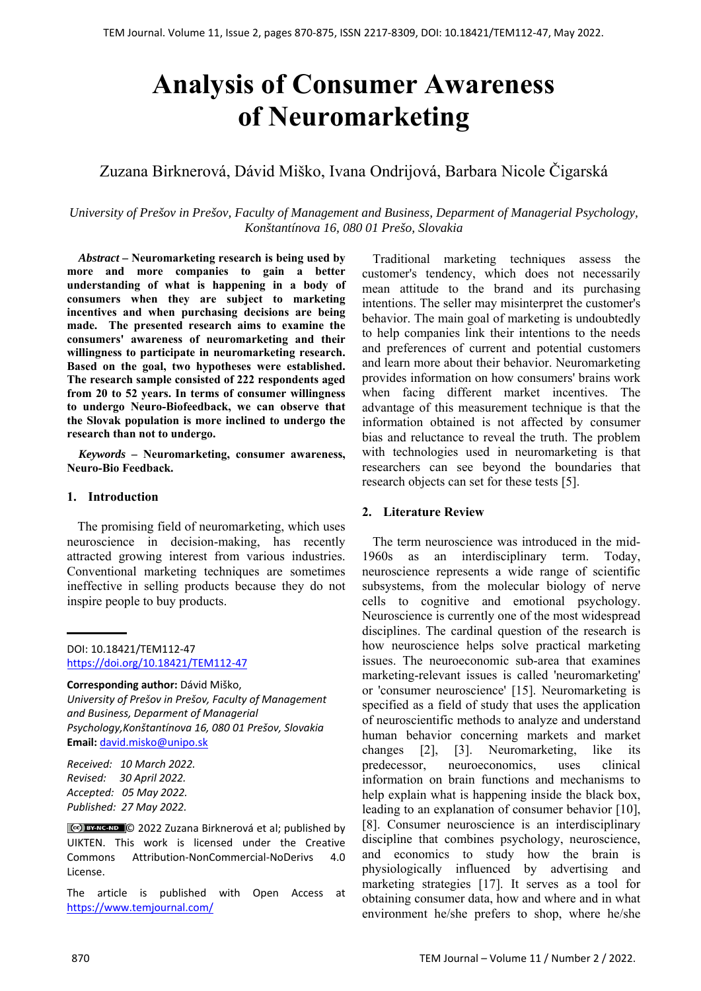# **Analysis of Consumer Awareness of Neuromarketing**

# Zuzana Birknerová, Dávid Miško, Ivana Ondrijová, Barbara Nicole Čigarská

*University of Prešov in Prešov, Faculty of Management and Business, Deparment of Managerial Psychology, Konštantínova 16, 080 01 Prešo, Slovakia*

*Abstract –* **Neuromarketing research is being used by more and more companies to gain a better understanding of what is happening in a body of consumers when they are subject to marketing incentives and when purchasing decisions are being made. The presented research aims to examine the consumers' awareness of neuromarketing and their willingness to participate in neuromarketing research. Based on the goal, two hypotheses were established. The research sample consisted of 222 respondents aged from 20 to 52 years. In terms of consumer willingness to undergo Neuro-Biofeedback, we can observe that the Slovak population is more inclined to undergo the research than not to undergo.** 

*Keywords –* **Neuromarketing, consumer awareness, Neuro-Bio Feedback.** 

#### **1. Introduction**

The promising field of neuromarketing, which uses neuroscience in decision-making, has recently attracted growing interest from various industries. Conventional marketing techniques are sometimes ineffective in selling products because they do not inspire people to buy products.

DOI: 10.18421/TEM112-47 [https://doi.org/10.18421/TEM112](https://doi.org/10.18421/TEM112-47)-47

**Corresponding author:** Dávid Miško,

*University of Prešov in Prešov, Faculty of Management and Business, Deparment of Managerial Psychology,Konštantínova 16, 080 01 Prešov, Slovakia*  **Email:** david.misko@unipo.sk

*Received: 10 March 2022. Revised: 30 April 2022. Accepted: 05 May 2022. Published: 27 May 2022.* 

© 2022 Zuzana Birknerová et al; published by UIKTEN. This work is licensed under the Creative Commons Attribution‐NonCommercial‐NoDerivs 4.0 License.

The article is published with Open Access at https://www.temjournal.com/

Traditional marketing techniques assess the customer's tendency, which does not necessarily mean attitude to the brand and its purchasing intentions. The seller may misinterpret the customer's behavior. The main goal of marketing is undoubtedly to help companies link their intentions to the needs and preferences of current and potential customers and learn more about their behavior. Neuromarketing provides information on how consumers' brains work when facing different market incentives. The advantage of this measurement technique is that the information obtained is not affected by consumer bias and reluctance to reveal the truth. The problem with technologies used in neuromarketing is that researchers can see beyond the boundaries that research objects can set for these tests [5].

## **2. Literature Review**

The term neuroscience was introduced in the mid-1960s as an interdisciplinary term. Today, neuroscience represents a wide range of scientific subsystems, from the molecular biology of nerve cells to cognitive and emotional psychology. Neuroscience is currently one of the most widespread disciplines. The cardinal question of the research is how neuroscience helps solve practical marketing issues. The neuroeconomic sub-area that examines marketing-relevant issues is called 'neuromarketing' or 'consumer neuroscience' [15]. Neuromarketing is specified as a field of study that uses the application of neuroscientific methods to analyze and understand human behavior concerning markets and market changes [2], [3]. Neuromarketing, like its predecessor, neuroeconomics, uses clinical information on brain functions and mechanisms to help explain what is happening inside the black box, leading to an explanation of consumer behavior [10], [8]. Consumer neuroscience is an interdisciplinary discipline that combines psychology, neuroscience, and economics to study how the brain is physiologically influenced by advertising and marketing strategies [17]. It serves as a tool for obtaining consumer data, how and where and in what environment he/she prefers to shop, where he/she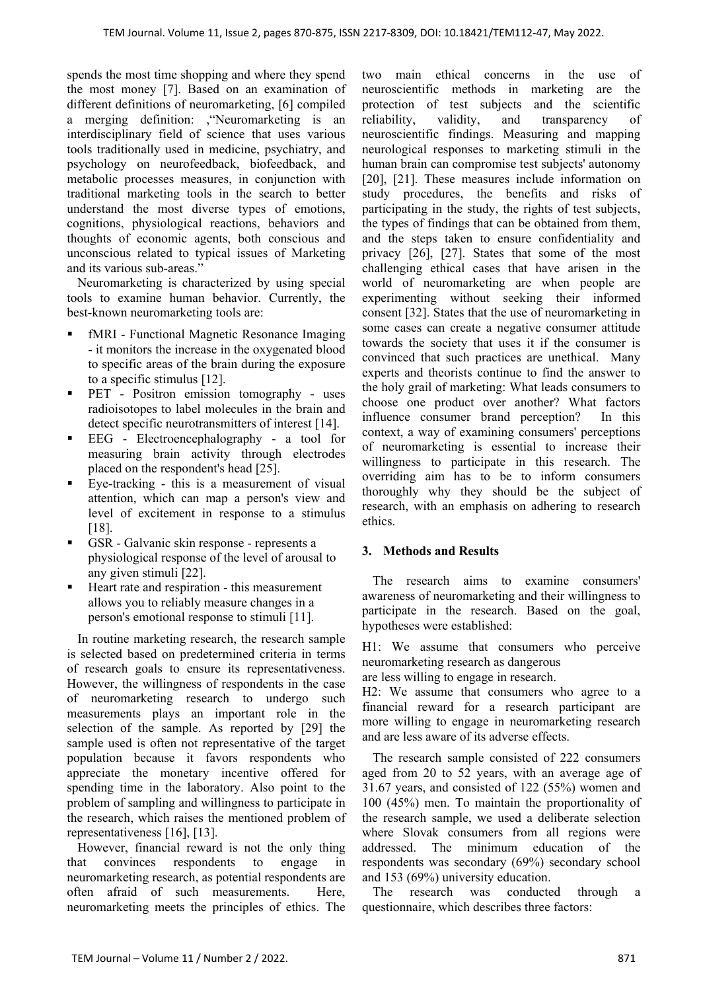spends the most time shopping and where they spend the most money [7]. Based on an examination of different definitions of neuromarketing, [6] compiled a merging definition: ,"Neuromarketing is an interdisciplinary field of science that uses various tools traditionally used in medicine, psychiatry, and psychology on neurofeedback, biofeedback, and metabolic processes measures, in conjunction with traditional marketing tools in the search to better understand the most diverse types of emotions, cognitions, physiological reactions, behaviors and thoughts of economic agents, both conscious and unconscious related to typical issues of Marketing and its various sub-areas."

Neuromarketing is characterized by using special tools to examine human behavior. Currently, the best-known neuromarketing tools are:

- fMRI Functional Magnetic Resonance Imaging - it monitors the increase in the oxygenated blood to specific areas of the brain during the exposure to a specific stimulus [12].
- PET Positron emission tomography uses radioisotopes to label molecules in the brain and detect specific neurotransmitters of interest [14].
- EEG Electroencephalography a tool for measuring brain activity through electrodes placed on the respondent's head [25].
- Eye-tracking this is a measurement of visual attention, which can map a person's view and level of excitement in response to a stimulus [18].
- GSR Galvanic skin response represents a physiological response of the level of arousal to any given stimuli [22].
- Heart rate and respiration this measurement allows you to reliably measure changes in a person's emotional response to stimuli [11].

In routine marketing research, the research sample is selected based on predetermined criteria in terms of research goals to ensure its representativeness. However, the willingness of respondents in the case of neuromarketing research to undergo such measurements plays an important role in the selection of the sample. As reported by [29] the sample used is often not representative of the target population because it favors respondents who appreciate the monetary incentive offered for spending time in the laboratory. Also point to the problem of sampling and willingness to participate in the research, which raises the mentioned problem of representativeness [16], [13].

However, financial reward is not the only thing that convinces respondents to engage in neuromarketing research, as potential respondents are often afraid of such measurements. Here, neuromarketing meets the principles of ethics. The two main ethical concerns in the use of neuroscientific methods in marketing are the protection of test subjects and the scientific reliability, validity, and transparency of neuroscientific findings. Measuring and mapping neurological responses to marketing stimuli in the human brain can compromise test subjects' autonomy [20], [21]. These measures include information on study procedures, the benefits and risks of participating in the study, the rights of test subjects, the types of findings that can be obtained from them, and the steps taken to ensure confidentiality and privacy [26], [27]. States that some of the most challenging ethical cases that have arisen in the world of neuromarketing are when people are experimenting without seeking their informed consent [32]. States that the use of neuromarketing in some cases can create a negative consumer attitude towards the society that uses it if the consumer is convinced that such practices are unethical. Many experts and theorists continue to find the answer to the holy grail of marketing: What leads consumers to choose one product over another? What factors influence consumer brand perception? In this context, a way of examining consumers' perceptions of neuromarketing is essential to increase their willingness to participate in this research. The overriding aim has to be to inform consumers thoroughly why they should be the subject of research, with an emphasis on adhering to research ethics.

## **3. Methods and Results**

The research aims to examine consumers' awareness of neuromarketing and their willingness to participate in the research. Based on the goal, hypotheses were established:

H1: We assume that consumers who perceive neuromarketing research as dangerous

are less willing to engage in research.

H2: We assume that consumers who agree to a financial reward for a research participant are more willing to engage in neuromarketing research and are less aware of its adverse effects.

The research sample consisted of 222 consumers aged from 20 to 52 years, with an average age of 31.67 years, and consisted of 122 (55%) women and 100 (45%) men. To maintain the proportionality of the research sample, we used a deliberate selection where Slovak consumers from all regions were addressed. The minimum education of the respondents was secondary (69%) secondary school and 153 (69%) university education.

The research was conducted through a questionnaire, which describes three factors: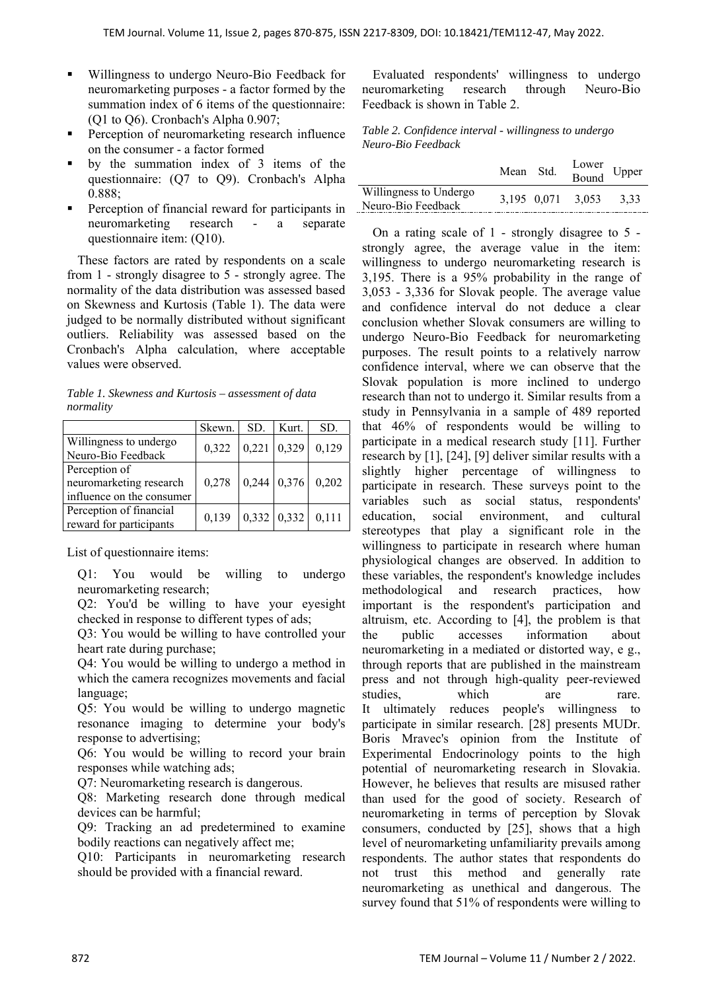- Willingness to undergo Neuro-Bio Feedback for neuromarketing purposes - a factor formed by the summation index of 6 items of the questionnaire: (Q1 to Q6). Cronbach's Alpha 0.907;
- Perception of neuromarketing research influence on the consumer - a factor formed
- by the summation index of 3 items of the questionnaire: (Q7 to Q9). Cronbach's Alpha 0.888;
- Perception of financial reward for participants in neuromarketing research - a separate questionnaire item: (Q10).

These factors are rated by respondents on a scale from 1 - strongly disagree to 5 - strongly agree. The normality of the data distribution was assessed based on Skewness and Kurtosis (Table 1). The data were judged to be normally distributed without significant outliers. Reliability was assessed based on the Cronbach's Alpha calculation, where acceptable values were observed.

*Table 1. Skewness and Kurtosis – assessment of data normality* 

|                           | Skewn. | SD.           | Kurt.                   | SD.   |
|---------------------------|--------|---------------|-------------------------|-------|
| Willingness to undergo    | 0,322  | $0,221$ 0,329 |                         | 0.129 |
| Neuro-Bio Feedback        |        |               |                         |       |
| Perception of             |        |               |                         |       |
| neuromarketing research   | 0,278  |               | $0,244$ 0,376 0,202     |       |
| influence on the consumer |        |               |                         |       |
| Perception of financial   | 0,139  |               | $0,332 \mid 0,332 \mid$ | 0.111 |
| reward for participants   |        |               |                         |       |

List of questionnaire items:

Q1: You would be willing to undergo neuromarketing research;

Q2: You'd be willing to have your eyesight checked in response to different types of ads;

Q3: You would be willing to have controlled your heart rate during purchase;

Q4: You would be willing to undergo a method in which the camera recognizes movements and facial language;

Q5: You would be willing to undergo magnetic resonance imaging to determine your body's response to advertising;

Q6: You would be willing to record your brain responses while watching ads;

Q7: Neuromarketing research is dangerous.

Q8: Marketing research done through medical devices can be harmful;

Q9: Tracking an ad predetermined to examine bodily reactions can negatively affect me;

Q10: Participants in neuromarketing research should be provided with a financial reward.

Evaluated respondents' willingness to undergo neuromarketing research through Neuro-Bio Feedback is shown in Table 2.

*Table 2. Confidence interval - willingness to undergo Neuro-Bio Feedback* 

|                                              | Mean Std. | Lower<br>Bound Upper |      |
|----------------------------------------------|-----------|----------------------|------|
| Willingness to Undergo<br>Neuro-Bio Feedback |           | 3.195 0.071 3.053    | 3.33 |

On a rating scale of 1 - strongly disagree to 5 strongly agree, the average value in the item: willingness to undergo neuromarketing research is 3,195. There is a 95% probability in the range of 3,053 - 3,336 for Slovak people. The average value and confidence interval do not deduce a clear conclusion whether Slovak consumers are willing to undergo Neuro-Bio Feedback for neuromarketing purposes. The result points to a relatively narrow confidence interval, where we can observe that the Slovak population is more inclined to undergo research than not to undergo it. Similar results from a study in Pennsylvania in a sample of 489 reported that 46% of respondents would be willing to participate in a medical research study [11]. Further research by [1], [24], [9] deliver similar results with a slightly higher percentage of willingness to participate in research. These surveys point to the variables such as social status, respondents' education, social environment, and cultural stereotypes that play a significant role in the willingness to participate in research where human physiological changes are observed. In addition to these variables, the respondent's knowledge includes methodological and research practices, how important is the respondent's participation and altruism, etc. According to [4], the problem is that the public accesses information about neuromarketing in a mediated or distorted way, e g., through reports that are published in the mainstream press and not through high-quality peer-reviewed studies, which are rare. It ultimately reduces people's willingness to participate in similar research. [28] presents MUDr. Boris Mravec's opinion from the Institute of Experimental Endocrinology points to the high potential of neuromarketing research in Slovakia. However, he believes that results are misused rather than used for the good of society. Research of neuromarketing in terms of perception by Slovak consumers, conducted by [25], shows that a high level of neuromarketing unfamiliarity prevails among respondents. The author states that respondents do not trust this method and generally rate neuromarketing as unethical and dangerous. The survey found that 51% of respondents were willing to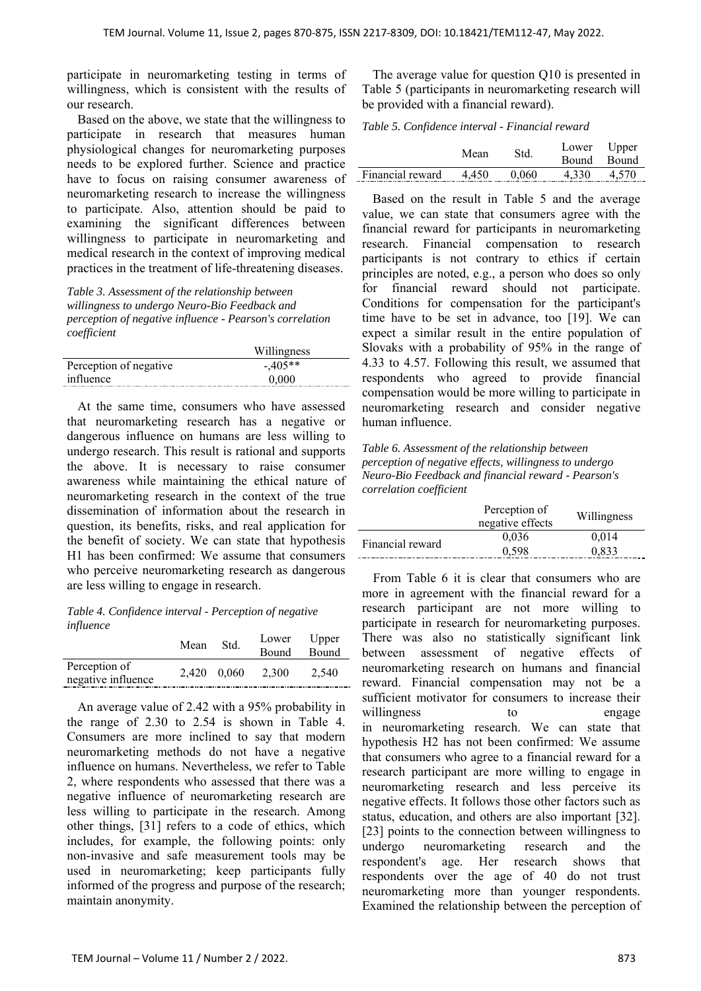participate in neuromarketing testing in terms of willingness, which is consistent with the results of our research.

Based on the above, we state that the willingness to participate in research that measures human physiological changes for neuromarketing purposes needs to be explored further. Science and practice have to focus on raising consumer awareness of neuromarketing research to increase the willingness to participate. Also, attention should be paid to examining the significant differences between willingness to participate in neuromarketing and medical research in the context of improving medical practices in the treatment of life-threatening diseases.

*Table 3. Assessment of the relationship between willingness to undergo Neuro-Bio Feedback and perception of negative influence - Pearson's correlation coefficient* 

| Willingness |  |  |
|-------------|--|--|
| $-405**$    |  |  |
| 0.000       |  |  |
|             |  |  |

At the same time, consumers who have assessed that neuromarketing research has a negative or dangerous influence on humans are less willing to undergo research. This result is rational and supports the above. It is necessary to raise consumer awareness while maintaining the ethical nature of neuromarketing research in the context of the true dissemination of information about the research in question, its benefits, risks, and real application for the benefit of society. We can state that hypothesis H1 has been confirmed: We assume that consumers who perceive neuromarketing research as dangerous are less willing to engage in research.

*Table 4. Confidence interval - Perception of negative influence* 

|                                     | Mean | Std.        | Lower Upper<br>Bound | Bound |
|-------------------------------------|------|-------------|----------------------|-------|
| Perception of<br>negative influence |      | 2.420 0.060 | 2.300                | 2.540 |

An average value of 2.42 with a 95% probability in the range of 2.30 to 2.54 is shown in Table 4. Consumers are more inclined to say that modern neuromarketing methods do not have a negative influence on humans. Nevertheless, we refer to Table 2, where respondents who assessed that there was a negative influence of neuromarketing research are less willing to participate in the research. Among other things, [31] refers to a code of ethics, which includes, for example, the following points: only non-invasive and safe measurement tools may be used in neuromarketing; keep participants fully informed of the progress and purpose of the research; maintain anonymity.

The average value for question Q10 is presented in Table 5 (participants in neuromarketing research will be provided with a financial reward).

*Table 5. Confidence interval - Financial reward* 

|                        | Mean | Std.  | Lower Upper | Bound Bound |
|------------------------|------|-------|-------------|-------------|
| Financial reward 4.450 |      | 0.060 | 4.330       | 4.570       |

Based on the result in Table 5 and the average value, we can state that consumers agree with the financial reward for participants in neuromarketing research. Financial compensation to research participants is not contrary to ethics if certain principles are noted, e.g., a person who does so only for financial reward should not participate. Conditions for compensation for the participant's time have to be set in advance, too [19]. We can expect a similar result in the entire population of Slovaks with a probability of 95% in the range of 4.33 to 4.57. Following this result, we assumed that respondents who agreed to provide financial compensation would be more willing to participate in neuromarketing research and consider negative human influence.

*Table 6. Assessment of the relationship between perception of negative effects, willingness to undergo Neuro-Bio Feedback and financial reward - Pearson's correlation coefficient* 

|                  | Perception of<br>negative effects | Willingness |
|------------------|-----------------------------------|-------------|
| Financial reward | 0.036                             | 0.014       |
|                  | 0.598                             | 0.833       |
|                  |                                   |             |

From Table 6 it is clear that consumers who are more in agreement with the financial reward for a research participant are not more willing to participate in research for neuromarketing purposes. There was also no statistically significant link between assessment of negative effects of neuromarketing research on humans and financial reward. Financial compensation may not be a sufficient motivator for consumers to increase their willingness to engage in neuromarketing research. We can state that hypothesis H2 has not been confirmed: We assume that consumers who agree to a financial reward for a research participant are more willing to engage in neuromarketing research and less perceive its negative effects. It follows those other factors such as status, education, and others are also important [32]. [23] points to the connection between willingness to undergo neuromarketing research and the respondent's age. Her research shows that respondents over the age of 40 do not trust neuromarketing more than younger respondents. Examined the relationship between the perception of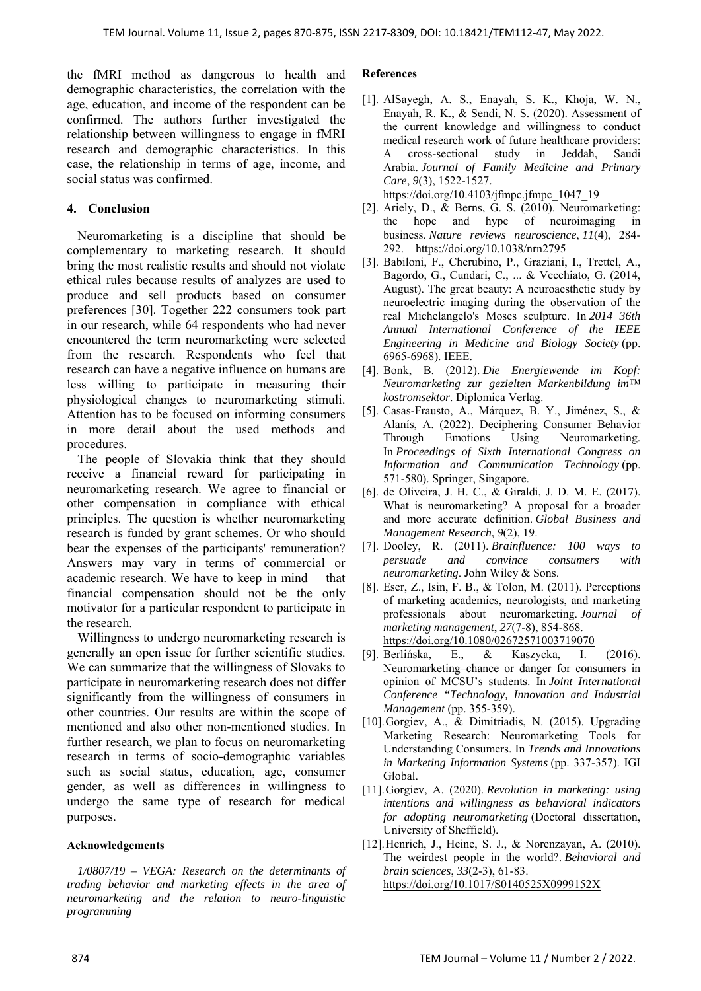the fMRI method as dangerous to health and demographic characteristics, the correlation with the age, education, and income of the respondent can be confirmed. The authors further investigated the relationship between willingness to engage in fMRI research and demographic characteristics. In this case, the relationship in terms of age, income, and social status was confirmed.

# **4. Conclusion**

Neuromarketing is a discipline that should be complementary to marketing research. It should bring the most realistic results and should not violate ethical rules because results of analyzes are used to produce and sell products based on consumer preferences [30]. Together 222 consumers took part in our research, while 64 respondents who had never encountered the term neuromarketing were selected from the research. Respondents who feel that research can have a negative influence on humans are less willing to participate in measuring their physiological changes to neuromarketing stimuli. Attention has to be focused on informing consumers in more detail about the used methods and procedures.

The people of Slovakia think that they should receive a financial reward for participating in neuromarketing research. We agree to financial or other compensation in compliance with ethical principles. The question is whether neuromarketing research is funded by grant schemes. Or who should bear the expenses of the participants' remuneration? Answers may vary in terms of commercial or academic research. We have to keep in mind that financial compensation should not be the only motivator for a particular respondent to participate in the research.

Willingness to undergo neuromarketing research is generally an open issue for further scientific studies. We can summarize that the willingness of Slovaks to participate in neuromarketing research does not differ significantly from the willingness of consumers in other countries. Our results are within the scope of mentioned and also other non-mentioned studies. In further research, we plan to focus on neuromarketing research in terms of socio-demographic variables such as social status, education, age, consumer gender, as well as differences in willingness to undergo the same type of research for medical purposes.

#### **Acknowledgements**

*1/0807/19 – VEGA: Research on the determinants of trading behavior and marketing effects in the area of neuromarketing and the relation to neuro-linguistic programming* 

#### **References**

- [1]. AlSayegh, A. S., Enayah, S. K., Khoja, W. N., Enayah, R. K., & Sendi, N. S. (2020). Assessment of the current knowledge and willingness to conduct medical research work of future healthcare providers: A cross-sectional study in Jeddah, Saudi Arabia. *Journal of Family Medicine and Primary Care*, *9*(3), 1522-1527. https://doi.org/10.4103/jfmpc.jfmpc $1047$  19
- [2]. Ariely, D., & Berns, G. S. (2010). Neuromarketing: the hope and hype of neuroimaging in business. *Nature reviews neuroscience*, *11*(4), 284- 292. https://doi.org/10.1038/nrn2795
- [3]. Babiloni, F., Cherubino, P., Graziani, I., Trettel, A., Bagordo, G., Cundari, C., ... & Vecchiato, G. (2014, August). The great beauty: A neuroaesthetic study by neuroelectric imaging during the observation of the real Michelangelo's Moses sculpture. In *2014 36th Annual International Conference of the IEEE Engineering in Medicine and Biology Society* (pp. 6965-6968). IEEE.
- [4]. Bonk, B. (2012). *Die Energiewende im Kopf: Neuromarketing zur gezielten Markenbildung im™ kostromsektor*. Diplomica Verlag.
- [5]. Casas-Frausto, A., Márquez, B. Y., Jiménez, S., & Alanís, A. (2022). Deciphering Consumer Behavior Through Emotions Using Neuromarketing. In *Proceedings of Sixth International Congress on Information and Communication Technology* (pp. 571-580). Springer, Singapore.
- [6]. de Oliveira, J. H. C., & Giraldi, J. D. M. E. (2017). What is neuromarketing? A proposal for a broader and more accurate definition. *Global Business and Management Research*, *9*(2), 19.
- [7]. Dooley, R. (2011). *Brainfluence: 100 ways to persuade and convince consumers with neuromarketing*. John Wiley & Sons.
- [8]. Eser, Z., Isin, F. B., & Tolon, M. (2011). Perceptions of marketing academics, neurologists, and marketing professionals about neuromarketing. *Journal of marketing management*, *27*(7-8), 854-868. https://doi.org/10.1080/02672571003719070
- [9]. Berlińska, E., & Kaszycka, I. (2016). Neuromarketing–chance or danger for consumers in opinion of MCSU's students. In *Joint International Conference "Technology, Innovation and Industrial Management* (pp. 355-359).
- [10].Gorgiev, A., & Dimitriadis, N. (2015). Upgrading Marketing Research: Neuromarketing Tools for Understanding Consumers. In *Trends and Innovations in Marketing Information Systems* (pp. 337-357). IGI Global.
- [11].Gorgiev, A. (2020). *Revolution in marketing: using intentions and willingness as behavioral indicators for adopting neuromarketing* (Doctoral dissertation, University of Sheffield).
- [12]. Henrich, J., Heine, S. J., & Norenzayan, A. (2010). The weirdest people in the world?. *Behavioral and brain sciences*, *33*(2-3), 61-83. https://doi.org/10.1017/S0140525X0999152X